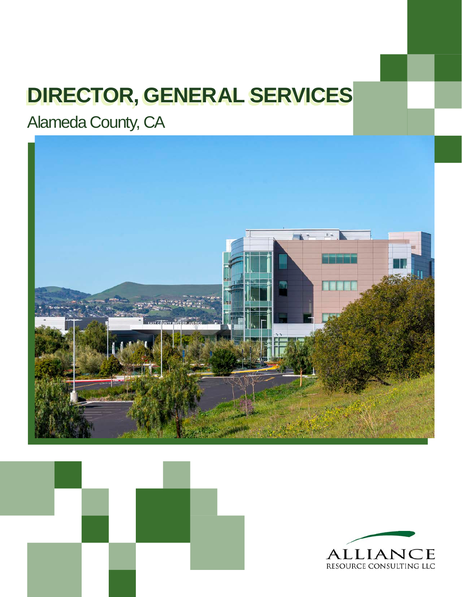# **DIRECTOR, GENERAL SERVICES**

Alameda County, CA





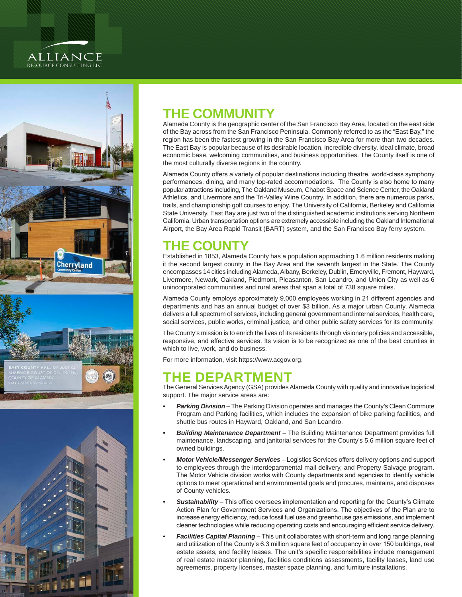### **ALLIANCE** RESOURCE CONSULTING LLC



## **THE COMMUNITY**

Alameda County is the geographic center of the San Francisco Bay Area, located on the east side of the Bay across from the San Francisco Peninsula. Commonly referred to as the "East Bay," the region has been the fastest growing in the San Francisco Bay Area for more than two decades. The East Bay is popular because of its desirable location, incredible diversity, ideal climate, broad economic base, welcoming communities, and business opportunities. The County itself is one of the most culturally diverse regions in the country.

Alameda County offers a variety of popular destinations including theatre, world-class symphony performances, dining, and many top-rated accommodations. The County is also home to many popular attractions including, The Oakland Museum, Chabot Space and Science Center, the Oakland Athletics, and Livermore and the Tri-Valley Wine Country. In addition, there are numerous parks, trails, and championship golf courses to enjoy. The University of California, Berkeley and California State University, East Bay are just two of the distinguished academic institutions serving Northern California. Urban transportation options are extremely accessible including the Oakland International Airport, the Bay Area Rapid Transit (BART) system, and the San Francisco Bay ferry system.

## **THE COUNTY**

Established in 1853, Alameda County has a population approaching 1.6 million residents making it the second largest county in the Bay Area and the seventh largest in the State. The County encompasses 14 cities including Alameda, Albany, Berkeley, Dublin, Emeryville, Fremont, Hayward, Livermore, Newark, Oakland, Piedmont, Pleasanton, San Leandro, and Union City as well as 6 unincorporated communities and rural areas that span a total of 738 square miles.

Alameda County employs approximately 9,000 employees working in 21 different agencies and departments and has an annual budget of over \$3 billion. As a major urban County, Alameda delivers a full spectrum of services, including general government and internal services, health care, social services, public works, criminal justice, and other public safety services for its community.

The County's mission is to enrich the lives of its residents through visionary policies and accessible, responsive, and effective services. Its vision is to be recognized as one of the best counties in which to live, work, and do business.

For more information, visit <https://www.acgov.org>.

## **THE DEPARTMENT**

The General Services Agency (GSA) provides Alameda County with quality and innovative logistical support. The major service areas are:

- **Parking Division** The Parking Division operates and manages the County's Clean Commute Program and Parking facilities, which includes the expansion of bike parking facilities, and shuttle bus routes in Hayward, Oakland, and San Leandro.
- *• Building Maintenance Department*  The Building Maintenance Department provides full maintenance, landscaping, and janitorial services for the County's 5.6 million square feet of owned buildings.
- *• Motor Vehicle/Messenger Services*  Logistics Services offers delivery options and support to employees through the interdepartmental mail delivery, and Property Salvage program. The Motor Vehicle division works with County departments and agencies to identify vehicle options to meet operational and environmental goals and procures, maintains, and disposes of County vehicles.
- *• Sustainability*  This office oversees implementation and reporting for the County's Climate Action Plan for Government Services and Organizations. The objectives of the Plan are to increase energy efficiency, reduce fossil fuel use and greenhouse gas emissions, and implement cleaner technologies while reducing operating costs and encouraging efficient service delivery.
- *• Facilities Capital Planning*  This unit collaborates with short-term and long range planning and utilization of the County's 6.3 million square feet of occupancy in over 150 buildings, real estate assets, and facility leases. The unit's specific responsibilities include management of real estate master planning, facilities conditions assessments, facility leases, land use agreements, property licenses, master space planning, and furniture installations.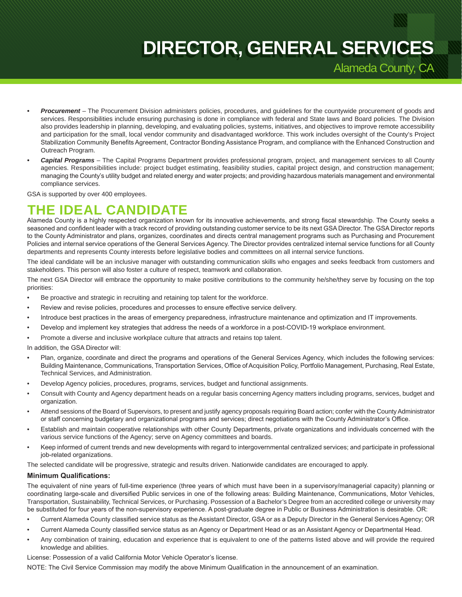## **DIRECTOR, GENERAL SERVICES**

Alameda County, CA

- *• Procurement*  The Procurement Division administers policies, procedures, and guidelines for the countywide procurement of goods and services. Responsibilities include ensuring purchasing is done in compliance with federal and State laws and Board policies. The Division also provides leadership in planning, developing, and evaluating policies, systems, initiatives, and objectives to improve remote accessibility and participation for the small, local vendor community and disadvantaged workforce. This work includes oversight of the County's Project Stabilization Community Benefits Agreement, Contractor Bonding Assistance Program, and compliance with the Enhanced Construction and Outreach Program.
- *• Capital Programs*  The Capital Programs Department provides professional program, project, and management services to all County agencies. Responsibilities include: project budget estimating, feasibility studies, capital project design, and construction management; managing the County's utility budget and related energy and water projects; and providing hazardous materials management and environmental compliance services.

GSA is supported by over 400 employees.

## **THE IDEAL CANDIDATE**

Alameda County is a highly respected organization known for its innovative achievements, and strong fiscal stewardship. The County seeks a seasoned and confident leader with a track record of providing outstanding customer service to be its next GSA Director. The GSA Director reports to the County Administrator and plans, organizes, coordinates and directs central management programs such as Purchasing and Procurement Policies and internal service operations of the General Services Agency. The Director provides centralized internal service functions for all County departments and represents County interests before legislative bodies and committees on all internal service functions.

The ideal candidate will be an inclusive manager with outstanding communication skills who engages and seeks feedback from customers and stakeholders. This person will also foster a culture of respect, teamwork and collaboration.

The next GSA Director will embrace the opportunity to make positive contributions to the community he/she/they serve by focusing on the top priorities:

- Be proactive and strategic in recruiting and retaining top talent for the workforce.
- Review and revise policies, procedures and processes to ensure effective service delivery.
- Introduce best practices in the areas of emergency preparedness, infrastructure maintenance and optimization and IT improvements.
- Develop and implement key strategies that address the needs of a workforce in a post-COVID-19 workplace environment.
- Promote a diverse and inclusive workplace culture that attracts and retains top talent.

In addition, the GSA Director will:

- Plan, organize, coordinate and direct the programs and operations of the General Services Agency, which includes the following services: Building Maintenance, Communications, Transportation Services, Office of Acquisition Policy, Portfolio Management, Purchasing, Real Estate, Technical Services, and Administration.
- Develop Agency policies, procedures, programs, services, budget and functional assignments.
- Consult with County and Agency department heads on a regular basis concerning Agency matters including programs, services, budget and organization.
- Attend sessions of the Board of Supervisors, to present and justify agency proposals requiring Board action; confer with the County Administrator or staff concerning budgetary and organizational programs and services; direct negotiations with the County Administrator's Office.
- Establish and maintain cooperative relationships with other County Departments, private organizations and individuals concerned with the various service functions of the Agency; serve on Agency committees and boards.
- Keep informed of current trends and new developments with regard to intergovernmental centralized services; and participate in professional job-related organizations.

The selected candidate will be progressive, strategic and results driven. Nationwide candidates are encouraged to apply.

### **Minimum Qualifications:**

The equivalent of nine years of full-time experience (three years of which must have been in a supervisory/managerial capacity) planning or coordinating large-scale and diversified Public services in one of the following areas: Building Maintenance, Communications, Motor Vehicles, Transportation, Sustainability, Technical Services, or Purchasing. Possession of a Bachelor's Degree from an accredited college or university may be substituted for four years of the non-supervisory experience. A post-graduate degree in Public or Business Administration is desirable. OR:

- Current Alameda County classified service status as the Assistant Director, GSA or as a Deputy Director in the General Services Agency; OR
- Current Alameda County classified service status as an Agency or Department Head or as an Assistant Agency or Departmental Head.
- Any combination of training, education and experience that is equivalent to one of the patterns listed above and will provide the required knowledge and abilities.

License: Possession of a valid California Motor Vehicle Operator's license.

NOTE: The Civil Service Commission may modify the above Minimum Qualification in the announcement of an examination.